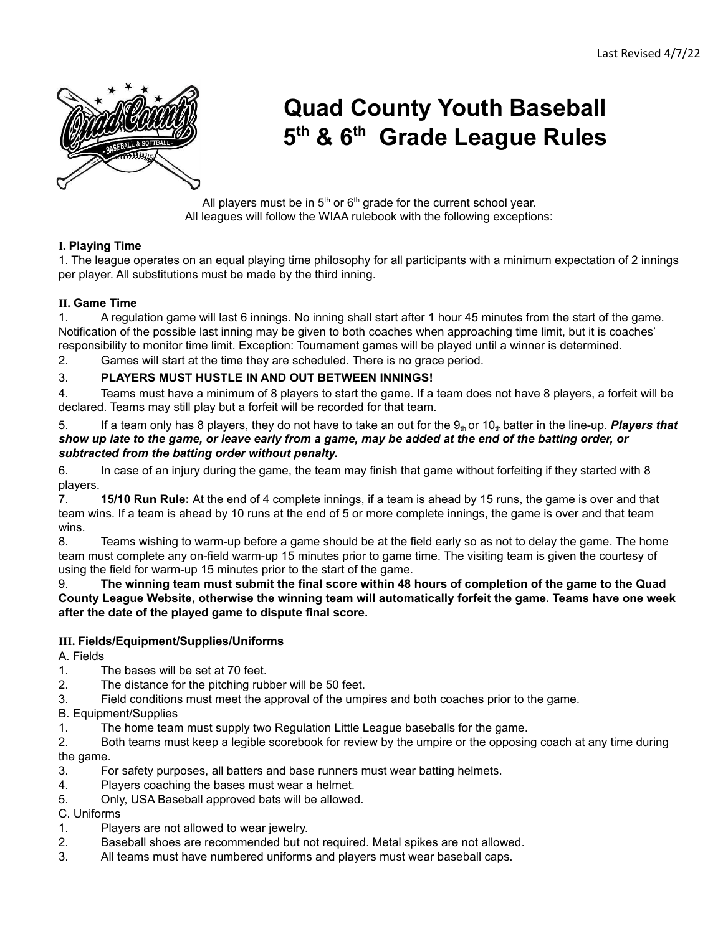

# **Quad County Youth Baseball 5 th & 6 th Grade League Rules**

All players must be in  $5<sup>th</sup>$  or  $6<sup>th</sup>$  grade for the current school year. All leagues will follow the WIAA rulebook with the following exceptions:

## **I. Playing Time**

1. The league operates on an equal playing time philosophy for all participants with a minimum expectation of 2 innings per player. All substitutions must be made by the third inning.

## **II. Game Time**

1. A regulation game will last 6 innings. No inning shall start after 1 hour 45 minutes from the start of the game. Notification of the possible last inning may be given to both coaches when approaching time limit, but it is coaches' responsibility to monitor time limit. Exception: Tournament games will be played until a winner is determined.

2. Games will start at the time they are scheduled. There is no grace period.

#### 3. **PLAYERS MUST HUSTLE IN AND OUT BETWEEN INNINGS!**

4. Teams must have a minimum of 8 players to start the game. If a team does not have 8 players, a forfeit will be declared. Teams may still play but a forfeit will be recorded for that team.

5. If a team only has 8 players, they do not have to take an out for the  $9<sub>th</sub>$  or  $10<sub>th</sub>$  batter in the line-up. **Players that** show up late to the game, or leave early from a game, may be added at the end of the batting order, or *subtracted from the batting order without penalty.*

6. In case of an injury during the game, the team may finish that game without forfeiting if they started with 8 players.

7. **15/10 Run Rule:** At the end of 4 complete innings, if a team is ahead by 15 runs, the game is over and that team wins. If a team is ahead by 10 runs at the end of 5 or more complete innings, the game is over and that team wins.

8. Teams wishing to warm-up before a game should be at the field early so as not to delay the game. The home team must complete any on-field warm-up 15 minutes prior to game time. The visiting team is given the courtesy of using the field for warm-up 15 minutes prior to the start of the game.

9. The winning team must submit the final score within 48 hours of completion of the game to the Quad **County League Website, otherwise the winning team will automatically forfeit the game. Teams have one week after the date of the played game to dispute final score.**

#### **III. Fields/Equipment/Supplies/Uniforms**

A. Fields

- 1. The bases will be set at 70 feet.
- 2. The distance for the pitching rubber will be 50 feet.
- 3. Field conditions must meet the approval of the umpires and both coaches prior to the game.

B. Equipment/Supplies

1. The home team must supply two Regulation Little League baseballs for the game.

2. Both teams must keep a legible scorebook for review by the umpire or the opposing coach at any time during the game.

- 3. For safety purposes, all batters and base runners must wear batting helmets.
- 4. Players coaching the bases must wear a helmet.
- 5. Only, USA Baseball approved bats will be allowed.

C. Uniforms

- 1. Players are not allowed to wear jewelry.
- 2. Baseball shoes are recommended but not required. Metal spikes are not allowed.
- 3. All teams must have numbered uniforms and players must wear baseball caps.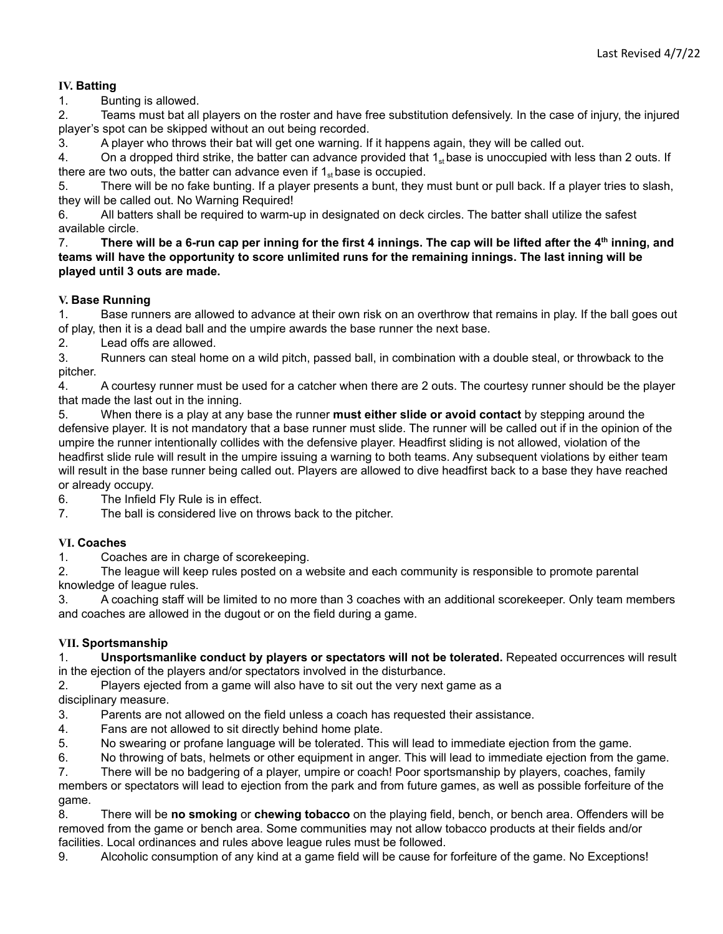## **IV. Batting**

1. Bunting is allowed.

2. Teams must bat all players on the roster and have free substitution defensively. In the case of injury, the injured player's spot can be skipped without an out being recorded.

3. A player who throws their bat will get one warning. If it happens again, they will be called out.

4. On a dropped third strike, the batter can advance provided that  $1_{st}$  base is unoccupied with less than 2 outs. If there are two outs, the batter can advance even if  $1_{st}$  base is occupied.

5. There will be no fake bunting. If a player presents a bunt, they must bunt or pull back. If a player tries to slash, they will be called out. No Warning Required!

6. All batters shall be required to warm-up in designated on deck circles. The batter shall utilize the safest available circle.

7. There will be a 6-run cap per inning for the first 4 innings. The cap will be lifted after the 4<sup>th</sup> inning, and teams will have the opportunity to score unlimited runs for the remaining innings. The last inning will be **played until 3 outs are made.**

## **V. Base Running**

1. Base runners are allowed to advance at their own risk on an overthrow that remains in play. If the ball goes out of play, then it is a dead ball and the umpire awards the base runner the next base.

2. Lead offs are allowed.

3. Runners can steal home on a wild pitch, passed ball, in combination with a double steal, or throwback to the pitcher.

4. A courtesy runner must be used for a catcher when there are 2 outs. The courtesy runner should be the player that made the last out in the inning.

5. When there is a play at any base the runner **must either slide or avoid contact** by stepping around the defensive player. It is not mandatory that a base runner must slide. The runner will be called out if in the opinion of the umpire the runner intentionally collides with the defensive player. Headfirst sliding is not allowed, violation of the headfirst slide rule will result in the umpire issuing a warning to both teams. Any subsequent violations by either team will result in the base runner being called out. Players are allowed to dive headfirst back to a base they have reached or already occupy.

6. The Infield Fly Rule is in effect.

7. The ball is considered live on throws back to the pitcher.

# **VI. Coaches**

1. Coaches are in charge of scorekeeping.

2. The league will keep rules posted on a website and each community is responsible to promote parental knowledge of league rules.

3. A coaching staff will be limited to no more than 3 coaches with an additional scorekeeper. Only team members and coaches are allowed in the dugout or on the field during a game.

## **VII. Sportsmanship**

1. **Unsportsmanlike conduct by players or spectators will not be tolerated.** Repeated occurrences will result in the ejection of the players and/or spectators involved in the disturbance.

2. Players ejected from a game will also have to sit out the very next game as a disciplinary measure.

3. Parents are not allowed on the field unless a coach has requested their assistance.

4. Fans are not allowed to sit directly behind home plate.

5. No swearing or profane language will be tolerated. This will lead to immediate ejection from the game.

6. No throwing of bats, helmets or other equipment in anger. This will lead to immediate ejection from the game.

7. There will be no badgering of a player, umpire or coach! Poor sportsmanship by players, coaches, family members or spectators will lead to ejection from the park and from future games, as well as possible forfeiture of the game.

8. There will be **no smoking** or **chewing tobacco** on the playing field, bench, or bench area. Offenders will be removed from the game or bench area. Some communities may not allow tobacco products at their fields and/or facilities. Local ordinances and rules above league rules must be followed.

9. Alcoholic consumption of any kind at a game field will be cause for forfeiture of the game. No Exceptions!